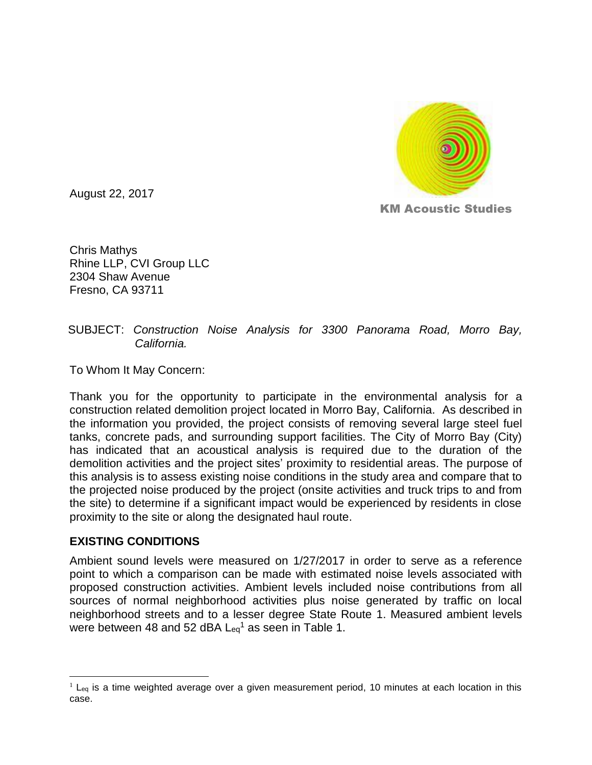

August 22, 2017

KM Acoustic Studies

Chris Mathys Rhine LLP, CVI Group LLC 2304 Shaw Avenue Fresno, CA 93711

#### SUBJECT: *Construction Noise Analysis for 3300 Panorama Road, Morro Bay, California.*

To Whom It May Concern:

Thank you for the opportunity to participate in the environmental analysis for a construction related demolition project located in Morro Bay, California. As described in the information you provided, the project consists of removing several large steel fuel tanks, concrete pads, and surrounding support facilities. The City of Morro Bay (City) has indicated that an acoustical analysis is required due to the duration of the demolition activities and the project sites' proximity to residential areas. The purpose of this analysis is to assess existing noise conditions in the study area and compare that to the projected noise produced by the project (onsite activities and truck trips to and from the site) to determine if a significant impact would be experienced by residents in close proximity to the site or along the designated haul route.

### **EXISTING CONDITIONS**

 $\overline{a}$ 

Ambient sound levels were measured on 1/27/2017 in order to serve as a reference point to which a comparison can be made with estimated noise levels associated with proposed construction activities. Ambient levels included noise contributions from all sources of normal neighborhood activities plus noise generated by traffic on local neighborhood streets and to a lesser degree State Route 1. Measured ambient levels were between 48 and 52 dBA  $\mathsf{L}_{eq}$ <sup>1</sup> as seen in Table 1.

 $1$  L<sub>eq</sub> is a time weighted average over a given measurement period, 10 minutes at each location in this case.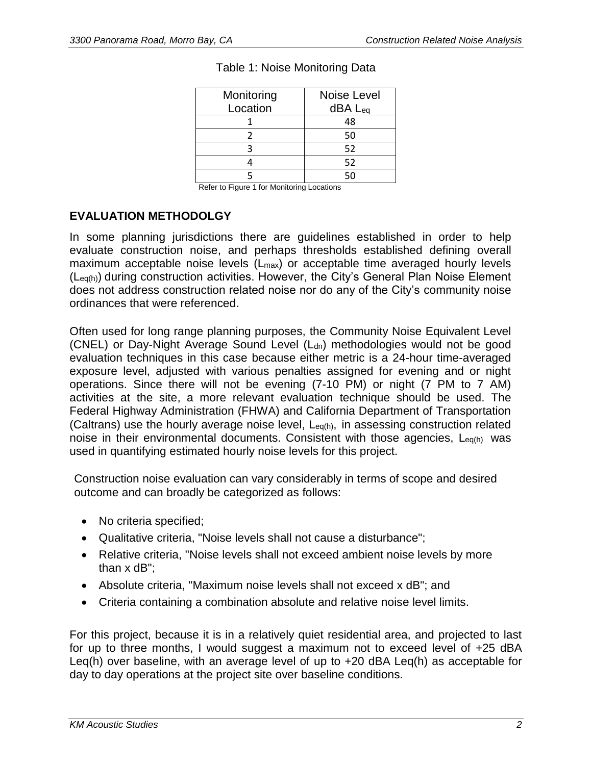| Monitoring | Noise Level |
|------------|-------------|
| Location   | dBA Leq     |
|            | 48          |
|            | 50          |
|            | 52          |
|            | 52          |
|            |             |

Refer to Figure 1 for Monitoring Locations

### **EVALUATION METHODOLGY**

In some planning jurisdictions there are guidelines established in order to help evaluate construction noise, and perhaps thresholds established defining overall maximum acceptable noise levels (L<sub>max</sub>) or acceptable time averaged hourly levels (Leq(h)) during construction activities. However, the City's General Plan Noise Element does not address construction related noise nor do any of the City's community noise ordinances that were referenced.

Often used for long range planning purposes, the Community Noise Equivalent Level (CNEL) or Day-Night Average Sound Level (L<sub>dn</sub>) methodologies would not be good evaluation techniques in this case because either metric is a 24-hour time-averaged exposure level, adjusted with various penalties assigned for evening and or night operations. Since there will not be evening (7-10 PM) or night (7 PM to 7 AM) activities at the site, a more relevant evaluation technique should be used. The Federal Highway Administration (FHWA) and California Department of Transportation (Caltrans) use the hourly average noise level, Leq(h), in assessing construction related noise in their environmental documents. Consistent with those agencies, L<sub>eq(h)</sub> was used in quantifying estimated hourly noise levels for this project.

Construction noise evaluation can vary considerably in terms of scope and desired outcome and can broadly be categorized as follows:

- No criteria specified;
- Qualitative criteria, "Noise levels shall not cause a disturbance";
- Relative criteria, "Noise levels shall not exceed ambient noise levels by more than x dB";
- Absolute criteria, "Maximum noise levels shall not exceed x dB"; and
- Criteria containing a combination absolute and relative noise level limits.

For this project, because it is in a relatively quiet residential area, and projected to last for up to three months, I would suggest a maximum not to exceed level of +25 dBA Leq(h) over baseline, with an average level of up to +20 dBA Leq(h) as acceptable for day to day operations at the project site over baseline conditions.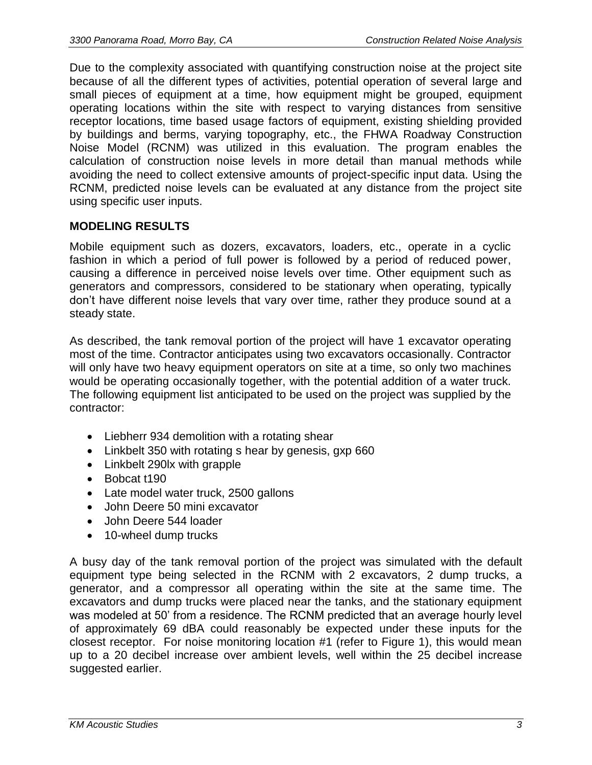Due to the complexity associated with quantifying construction noise at the project site because of all the different types of activities, potential operation of several large and small pieces of equipment at a time, how equipment might be grouped, equipment operating locations within the site with respect to varying distances from sensitive receptor locations, time based usage factors of equipment, existing shielding provided by buildings and berms, varying topography, etc., the FHWA Roadway Construction Noise Model (RCNM) was utilized in this evaluation. The program enables the calculation of construction noise levels in more detail than manual methods while avoiding the need to collect extensive amounts of project-specific input data. Using the RCNM, predicted noise levels can be evaluated at any distance from the project site using specific user inputs.

### **MODELING RESULTS**

Mobile equipment such as dozers, excavators, loaders, etc., operate in a cyclic fashion in which a period of full power is followed by a period of reduced power, causing a difference in perceived noise levels over time. Other equipment such as generators and compressors, considered to be stationary when operating, typically don't have different noise levels that vary over time, rather they produce sound at a steady state.

As described, the tank removal portion of the project will have 1 excavator operating most of the time. Contractor anticipates using two excavators occasionally. Contractor will only have two heavy equipment operators on site at a time, so only two machines would be operating occasionally together, with the potential addition of a water truck. The following equipment list anticipated to be used on the project was supplied by the contractor:

- Liebherr 934 demolition with a rotating shear
- Linkbelt 350 with rotating s hear by genesis, gxp 660
- Linkbelt 290lx with grapple
- Bobcat t190
- Late model water truck, 2500 gallons
- John Deere 50 mini excavator
- John Deere 544 loader
- 10-wheel dump trucks

A busy day of the tank removal portion of the project was simulated with the default equipment type being selected in the RCNM with 2 excavators, 2 dump trucks, a generator, and a compressor all operating within the site at the same time. The excavators and dump trucks were placed near the tanks, and the stationary equipment was modeled at 50' from a residence. The RCNM predicted that an average hourly level of approximately 69 dBA could reasonably be expected under these inputs for the closest receptor. For noise monitoring location #1 (refer to Figure 1), this would mean up to a 20 decibel increase over ambient levels, well within the 25 decibel increase suggested earlier.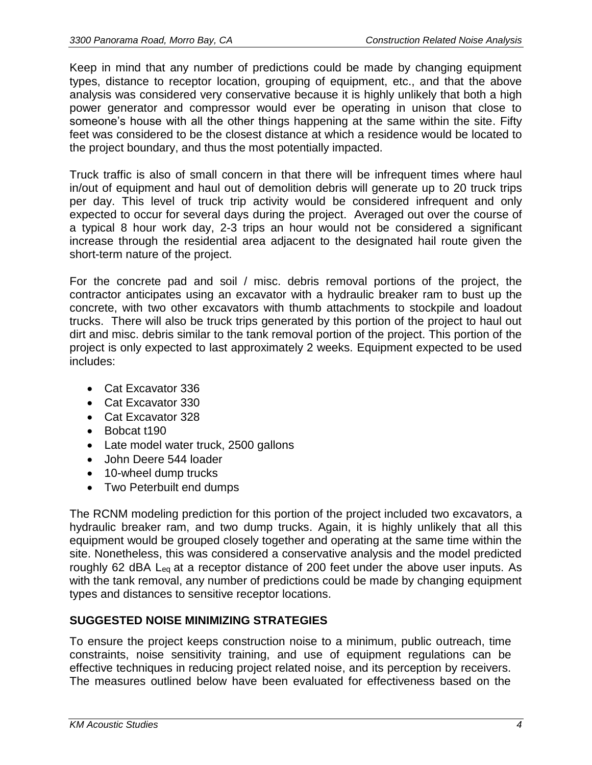Keep in mind that any number of predictions could be made by changing equipment types, distance to receptor location, grouping of equipment, etc., and that the above analysis was considered very conservative because it is highly unlikely that both a high power generator and compressor would ever be operating in unison that close to someone's house with all the other things happening at the same within the site. Fifty feet was considered to be the closest distance at which a residence would be located to the project boundary, and thus the most potentially impacted.

Truck traffic is also of small concern in that there will be infrequent times where haul in/out of equipment and haul out of demolition debris will generate up to 20 truck trips per day. This level of truck trip activity would be considered infrequent and only expected to occur for several days during the project. Averaged out over the course of a typical 8 hour work day, 2-3 trips an hour would not be considered a significant increase through the residential area adjacent to the designated hail route given the short-term nature of the project.

For the concrete pad and soil / misc. debris removal portions of the project, the contractor anticipates using an excavator with a hydraulic breaker ram to bust up the concrete, with two other excavators with thumb attachments to stockpile and loadout trucks. There will also be truck trips generated by this portion of the project to haul out dirt and misc. debris similar to the tank removal portion of the project. This portion of the project is only expected to last approximately 2 weeks. Equipment expected to be used includes:

- Cat Excavator 336
- Cat Excavator 330
- Cat Excavator 328
- Bobcat t190
- Late model water truck, 2500 gallons
- John Deere 544 loader
- 10-wheel dump trucks
- Two Peterbuilt end dumps

The RCNM modeling prediction for this portion of the project included two excavators, a hydraulic breaker ram, and two dump trucks. Again, it is highly unlikely that all this equipment would be grouped closely together and operating at the same time within the site. Nonetheless, this was considered a conservative analysis and the model predicted roughly 62 dBA Leq at a receptor distance of 200 feet under the above user inputs. As with the tank removal, any number of predictions could be made by changing equipment types and distances to sensitive receptor locations.

# **SUGGESTED NOISE MINIMIZING STRATEGIES**

To ensure the project keeps construction noise to a minimum, public outreach, time constraints, noise sensitivity training, and use of equipment regulations can be effective techniques in reducing project related noise, and its perception by receivers. The measures outlined below have been evaluated for effectiveness based on the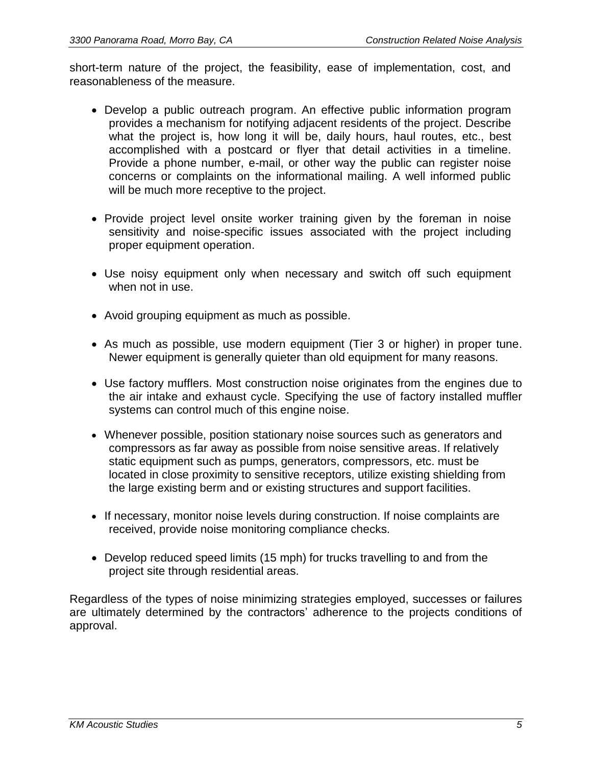short-term nature of the project, the feasibility, ease of implementation, cost, and reasonableness of the measure.

- Develop a public outreach program. An effective public information program provides a mechanism for notifying adjacent residents of the project. Describe what the project is, how long it will be, daily hours, haul routes, etc., best accomplished with a postcard or flyer that detail activities in a timeline. Provide a phone number, e-mail, or other way the public can register noise concerns or complaints on the informational mailing. A well informed public will be much more receptive to the project.
- Provide project level onsite worker training given by the foreman in noise sensitivity and noise-specific issues associated with the project including proper equipment operation.
- Use noisy equipment only when necessary and switch off such equipment when not in use.
- Avoid grouping equipment as much as possible.
- As much as possible, use modern equipment (Tier 3 or higher) in proper tune. Newer equipment is generally quieter than old equipment for many reasons.
- Use factory mufflers. Most construction noise originates from the engines due to the air intake and exhaust cycle. Specifying the use of factory installed muffler systems can control much of this engine noise.
- Whenever possible, position stationary noise sources such as generators and compressors as far away as possible from noise sensitive areas. If relatively static equipment such as pumps, generators, compressors, etc. must be located in close proximity to sensitive receptors, utilize existing shielding from the large existing berm and or existing structures and support facilities.
- If necessary, monitor noise levels during construction. If noise complaints are received, provide noise monitoring compliance checks.
- Develop reduced speed limits (15 mph) for trucks travelling to and from the project site through residential areas.

Regardless of the types of noise minimizing strategies employed, successes or failures are ultimately determined by the contractors' adherence to the projects conditions of approval.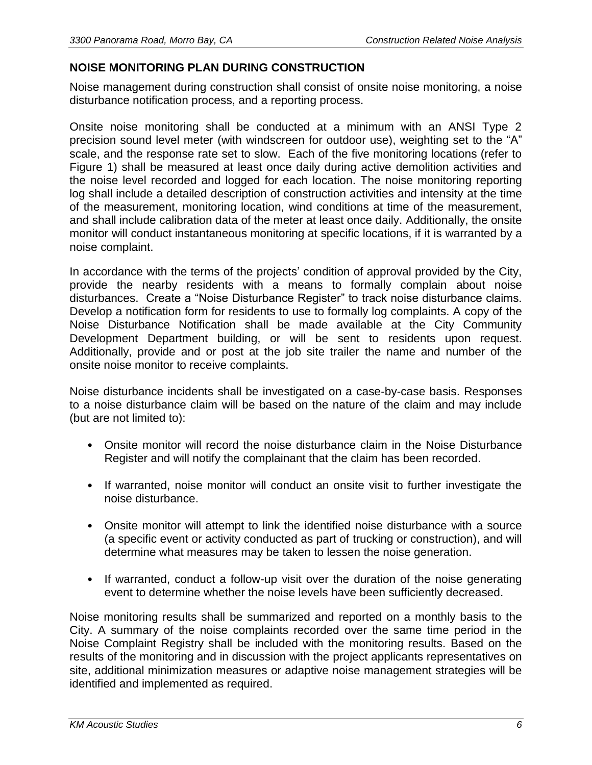# **NOISE MONITORING PLAN DURING CONSTRUCTION**

Noise management during construction shall consist of onsite noise monitoring, a noise disturbance notification process, and a reporting process.

Onsite noise monitoring shall be conducted at a minimum with an ANSI Type 2 precision sound level meter (with windscreen for outdoor use), weighting set to the "A" scale, and the response rate set to slow. Each of the five monitoring locations (refer to Figure 1) shall be measured at least once daily during active demolition activities and the noise level recorded and logged for each location. The noise monitoring reporting log shall include a detailed description of construction activities and intensity at the time of the measurement, monitoring location, wind conditions at time of the measurement, and shall include calibration data of the meter at least once daily. Additionally, the onsite monitor will conduct instantaneous monitoring at specific locations, if it is warranted by a noise complaint.

In accordance with the terms of the projects' condition of approval provided by the City, provide the nearby residents with a means to formally complain about noise disturbances. Create a "Noise Disturbance Register" to track noise disturbance claims. Develop a notification form for residents to use to formally log complaints. A copy of the Noise Disturbance Notification shall be made available at the City Community Development Department building, or will be sent to residents upon request. Additionally, provide and or post at the job site trailer the name and number of the onsite noise monitor to receive complaints.

Noise disturbance incidents shall be investigated on a case-by-case basis. Responses to a noise disturbance claim will be based on the nature of the claim and may include (but are not limited to):

- Onsite monitor will record the noise disturbance claim in the Noise Disturbance Register and will notify the complainant that the claim has been recorded.
- If warranted, noise monitor will conduct an onsite visit to further investigate the noise disturbance.
- Onsite monitor will attempt to link the identified noise disturbance with a source (a specific event or activity conducted as part of trucking or construction), and will determine what measures may be taken to lessen the noise generation.
- If warranted, conduct a follow-up visit over the duration of the noise generating event to determine whether the noise levels have been sufficiently decreased.

Noise monitoring results shall be summarized and reported on a monthly basis to the City. A summary of the noise complaints recorded over the same time period in the Noise Complaint Registry shall be included with the monitoring results. Based on the results of the monitoring and in discussion with the project applicants representatives on site, additional minimization measures or adaptive noise management strategies will be identified and implemented as required.